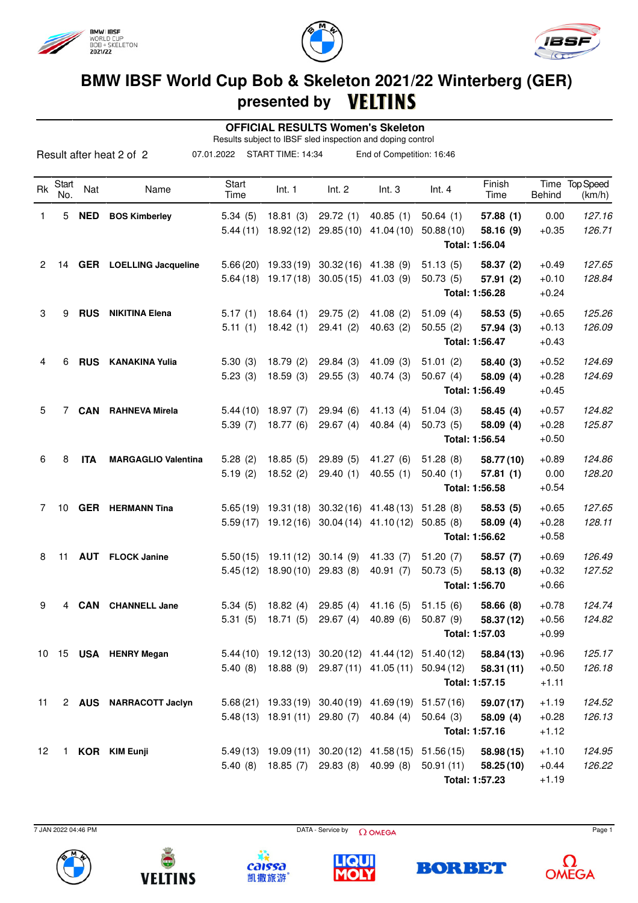





## **BMW IBSF World Cup Bob & Skeleton 2021/22 Winterberg (GER) presented by VELTINS**

 **OFFICIAL RESULTS Women's Skeleton**

Results subject to IBSF sled inspection and doping control

|           |              |            | Result after heat 2 of 2       | 07.01.2022    | START TIME: 14:34    |                                          | End of Competition: 16:46                             |           |                             |               |                          |
|-----------|--------------|------------|--------------------------------|---------------|----------------------|------------------------------------------|-------------------------------------------------------|-----------|-----------------------------|---------------|--------------------------|
| <b>Rk</b> | Start<br>No. | Nat        | Name                           | Start<br>Time | Int. 1               | Int. 2                                   | Int.3                                                 | Int.4     | Finish<br>Time              | <b>Behind</b> | Time Top Speed<br>(km/h) |
| 1         | 5            | <b>NED</b> | <b>BOS Kimberley</b>           | 5.34(5)       | 18.81(3)             | 29.72(1)                                 | 40.85(1)                                              | 50.64(1)  | 57.88(1)                    | 0.00          | 127.16                   |
|           |              |            |                                | 5.44(11)      | 18.92(12)            | 29.85(10)                                | 41.04 (10)                                            | 50.88(10) | 58.16 (9)<br>Total: 1:56.04 | $+0.35$       | 126.71                   |
| 2         | 14           |            | <b>GER</b> LOELLING Jacqueline | 5.66(20)      | 19.33 (19)           | 30.32 (16) 41.38 (9)                     |                                                       | 51.13(5)  | 58.37 (2)                   | $+0.49$       | 127.65                   |
|           |              |            |                                |               | $5.64(18)$ 19.17(18) | 30.05(15)                                | 41.03 (9)                                             | 50.73(5)  | 57.91 (2)                   | $+0.10$       | 128.84                   |
|           |              |            |                                |               |                      |                                          |                                                       |           | Total: 1:56.28              | $+0.24$       |                          |
| 3         | 9            | <b>RUS</b> | <b>NIKITINA Elena</b>          | 5.17(1)       | 18.64(1)             | 29.75(2)                                 | 41.08(2)                                              | 51.09(4)  | 58.53 (5)                   | $+0.65$       | 125.26                   |
|           |              |            |                                | 5.11(1)       | 18.42(1)             | 29.41(2)                                 | 40.63(2)                                              | 50.55(2)  | 57.94 (3)                   | $+0.13$       | 126.09                   |
|           |              |            |                                |               |                      |                                          |                                                       |           | Total: 1:56.47              | $+0.43$       |                          |
| 4         | 6            | <b>RUS</b> | <b>KANAKINA Yulia</b>          | 5.30(3)       | 18.79(2)             | 29.84(3)                                 | 41.09(3)                                              | 51.01(2)  | 58.40 (3)                   | $+0.52$       | 124.69                   |
|           |              |            |                                | 5.23(3)       | 18.59(3)             | 29.55(3)                                 | 40.74 (3)                                             | 50.67(4)  | 58.09 (4)                   | $+0.28$       | 124.69                   |
|           |              |            |                                |               |                      |                                          |                                                       |           | Total: 1:56.49              | $+0.45$       |                          |
| 5         | 7            | <b>CAN</b> | <b>RAHNEVA Mirela</b>          | 5.44(10)      | 18.97(7)             | 29.94(6)                                 | 41.13(4)                                              | 51.04(3)  | 58.45 (4)                   | $+0.57$       | 124.82                   |
|           |              |            |                                | 5.39(7)       | 18.77(6)             | 29.67(4)                                 | 40.84(4)                                              | 50.73(5)  | 58.09 (4)                   | $+0.28$       | 125.87                   |
|           |              |            |                                |               |                      |                                          |                                                       |           | Total: 1:56.54              | $+0.50$       |                          |
| 6         | 8            | <b>ITA</b> | <b>MARGAGLIO Valentina</b>     | 5.28(2)       | 18.85(5)             | 29.89(5)                                 | 41.27 (6)                                             | 51.28(8)  | 58.77 (10)                  | $+0.89$       | 124.86                   |
|           |              |            |                                | 5.19(2)       | 18.52(2)             | 29.40(1)                                 | 40.55(1)                                              | 50.40(1)  | 57.81(1)                    | 0.00          | 128.20                   |
|           |              |            |                                |               |                      |                                          |                                                       |           | Total: 1:56.58              | $+0.54$       |                          |
| 7         | 10           |            | <b>GER</b> HERMANN Tina        | 5.65(19)      | 19.31 (18)           | 30.32 (16)                               | 41.48 (13)                                            | 51.28(8)  | 58.53(5)                    | $+0.65$       | 127.65                   |
|           |              |            |                                | 5.59(17)      | 19.12(16)            | 30.04(14)                                | 41.10 (12)                                            | 50.85(8)  | 58.09 (4)                   | $+0.28$       | 128.11                   |
|           |              |            |                                |               |                      |                                          |                                                       |           | Total: 1:56.62              | $+0.58$       |                          |
| 8         | 11           | <b>AUT</b> | <b>FLOCK Janine</b>            | 5.50(15)      | 19.11 (12)           | 30.14(9)                                 | 41.33 (7)                                             | 51.20(7)  | 58.57 (7)                   | $+0.69$       | 126.49                   |
|           |              |            |                                | 5.45(12)      | 18.90(10)            | 29.83(8)                                 | 40.91(7)                                              | 50.73(5)  | 58.13 (8)                   | $+0.32$       | 127.52                   |
|           |              |            |                                |               |                      |                                          |                                                       |           | Total: 1:56.70              | $+0.66$       |                          |
| 9         | 4            | <b>CAN</b> | <b>CHANNELL Jane</b>           | 5.34(5)       | 18.82(4)             | 29.85(4)                                 | 41.16(5)                                              | 51.15(6)  | 58.66 (8)                   | $+0.78$       | 124.74                   |
|           |              |            |                                | 5.31(5)       | 18.71(5)             | 29.67(4)                                 | 40.89(6)                                              | 50.87(9)  | 58.37 (12)                  | $+0.56$       | 124.82                   |
|           |              |            |                                |               |                      |                                          |                                                       |           | Total: 1:57.03              | $+0.99$       |                          |
|           |              |            | 10 15 USA HENRY Megan          |               |                      |                                          | 5.44 (10) 19.12 (13) 30.20 (12) 41.44 (12) 51.40 (12) |           | 58.84 (13)                  | $+0.96$       | 125.17                   |
|           |              |            |                                | 5.40(8)       |                      |                                          | 18.88 (9) 29.87 (11) 41.05 (11) 50.94 (12)            |           | 58.31(11)                   | $+0.50$       | 126.18                   |
|           |              |            |                                |               |                      |                                          |                                                       |           | Total: 1:57.15              | $+1.11$       |                          |
| 11        |              |            | 2 AUS NARRACOTT Jaclyn         |               |                      |                                          | 5.68 (21) 19.33 (19) 30.40 (19) 41.69 (19) 51.57 (16) |           | 59.07 (17)                  | $+1.19$       | 124.52                   |
|           |              |            |                                |               |                      | 5.48 (13) 18.91 (11) 29.80 (7) 40.84 (4) |                                                       | 50.64(3)  | 58.09(4)                    | $+0.28$       | 126.13                   |
|           |              |            |                                |               |                      |                                          |                                                       |           | Total: 1:57.16              | $+1.12$       |                          |
| 12        |              |            | 1 KOR KIM Eunji                |               |                      |                                          | 5.49 (13) 19.09 (11) 30.20 (12) 41.58 (15) 51.56 (15) |           | 58.98 (15)                  | $+1.10$       | 124.95                   |
|           |              |            |                                | 5.40(8)       | 18.85 (7)            | 29.83 (8)                                | 40.99 (8)                                             | 50.91(11) | 58.25(10)                   | $+0.44$       | 126.22                   |
|           |              |            |                                |               |                      |                                          |                                                       |           | Total: 1:57.23              | $+1.19$       |                          |

 $\overline{7}$  JAN 2022 04:46 PM Page 1